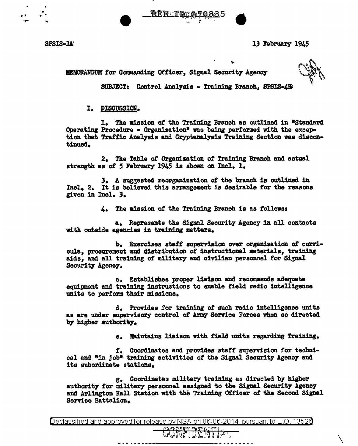

SPSIS-lA' 13 February 1945

MEMORANDUM for Commanding Officer, Signal Security Agency

 $\setminus$ 

SUBJECT: Control Analysis - Training Branch, SPSIS-AB

I. DISCUSSIOB.

1. The mission of the Training Branch as outlined in "Standard Operating Procedure - Organization" was being performed with the exception that Traffic Analysis and Cryptanalysis Training Section was discontinued.

2. The Table of Organization of Training Branch and actual strength as *ot* 5 February 1945 is shown on Incl. 1.

3. A suggested reorganization of the branch is outlined in Incl. 2. It is believed this arrangement is desirable *tor* the reasons given in Incl. *3.* 

4. The mission of the Training Branch is as tollowa:

a. Represents the Signal Security Agency in all contacts with outside agencies in training matters.

b. Exercises staff supervision over organization *ot* curricula, procurement and distribution of instructional materials, training aids, and all training of military and civilian personnel for Signal Security Agency.

c. Establishes proper liaison and recommends adequate equipment and training instructions to enable field radio intelligence units to perform their missions.

d. Provides for training of such radio intelligence units as are under supervisory control of Army Service Forces when so directed by higher author1t7.

e. Maintains liaison with field units regarding Training.

*t.* Coordinates and provides statr supervision tor technical and "in job" training activities or the Signal Security Agency and its subordinate stations.

g. Coordinates military training as directed by higher authority for military personnel assigned to the Signal Security Agency and Arlington Hall Station with the Training otficer of the Second Signal Service Battalion.

Declassified and approved for release by NSA on 06-06-2014  $\,$  pursuant to E.O. 1352 $0$ 

wWï∀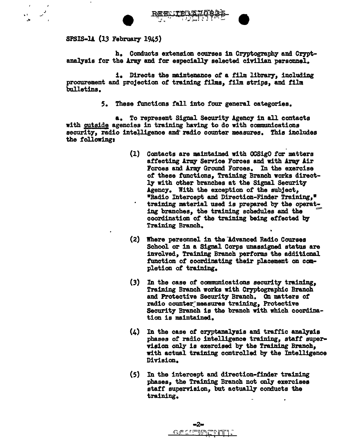



SPSIS-lA (13 February 1945)

.<br>أحياء<br>من

h. Conducts extension courses in Cryptography and Cryptanalysis for the Army and for especially selected civilian personnel.

1. Directs the mintenance of a film library, including procurement and projection of training films, film strips, and film bulletins.

5. These functions fall into four general categories.

a. To represent Signal Security Agency in all contacts with outside agencies in training having to do with communications security, radio intelligence and radio counter measures. This includes the following:

- ' (l) Contacts are maintained with OCSigO for matters affecting Army Service Forces and with Army Air Forces and Army Ground Forces. In the exercise of these functions, Training Branch works directly with other branches at the Signal Security Agency. With the exception of the subject, •Radio Intercept and Direction-Finder Training,• training material used is prepared by the operating branches, the training schedules and the coordination of the training being effected by Training Branch.
- (2) Where personnel in the "Advanced Radio Courses School or in a Signal Corps unassigned status are involved, Training Branch performs the additional function *ot* coordinating their placement on ccmapletion of training.
- (3) In the case of communications security training, Training Branch works with Cryptographic Branch and Protective Security Branch. On matters of radio counter measures training, Protective Security Branch is the branch with which coordination is maintained.
- $(4)$  In the case of cryptanalysis and traffic analysis phases of radio intelligence training, staff supervision only is exercised b7 the Training Branch, with actual training controlled by the Intelligence Division.
- (5) In the intercept and direction-tinder training phases, the Training Branch not only exercises staff supervision, but actually conducts the training.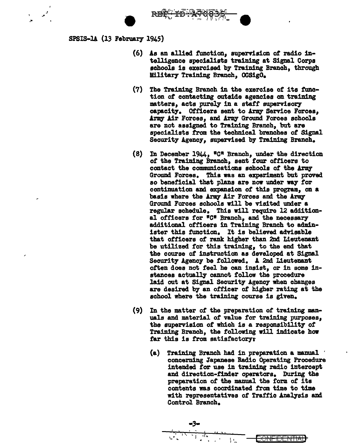

 $SPSIS-LA (13 February 1945)$ 

-·

-·

- (6) As an allied function, supervision of radio intelligence specialists training at Signal Corps schools is exercised by Training Branch, through Military Training Branch, OCSigO.
- $(7)$  The Training Branch in the exercise of its function of contacting outside agencies on training matters, acts purely in a staff supervisory capacity. Officers sent to Army Service Forces. Army Air Forces, and Army Ground Forces schools are not assigned to Training Branch, but are specialists from the technical branches *ot* Signal Security Agency, supervised by Training Branch.
- (8) In December 1944,  $^{\prime\prime}$ C<sup>R</sup> Branch, under the direction of the Training Branch, sent four officers to contact the communications schools of the Army Ground Forces. This was an experiment but proved so beneficial that plans are now under way for continuation and expansion of this program, on a basis where the Army Air Forces and the Army Ground Forces schools will be visited under a regular schedule. Thia will require 12 additional officers for "C" Branch, and the necessary additional officers in Training Branch to administer this function. It is believed advisable that officers of rank higher than 2nd Lieutenant be utilized for this training, to the end that the course of instruction as developed at Signal Security Agency be followed. A 2nd Lieutenant often does not feel he can insist, or in some instances actually cannot follow the procedure laid out at Signal Security Agency when changes are desired by an officer of higher rating at the school where the training course is given.
- (9) In the matter of the preparation of' training manuals and material of value for training purposes, the supervision *ot* which is a responsibility of Training Branch, the following will indicate how far this is from satisfactory:
	- (a) Training Branch had in preparation a manual · concerning Japa.nese Badio Operating Procedure intended for use in training radio intercept and direction-tinder operators. During the preparation of the manual the form of its contents was coordinated fran time to time with representatives of Traffic Analysis and Control Branch.

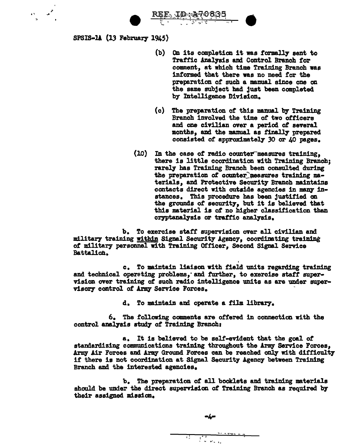**REE JO A 70835** 

 $SPSIS-L4$  (13 February 1945)

 $\label{eq:2.1} \alpha_{\rm{1}}=\alpha_{\rm{2}}^2$ 

- (b) On its completion it was formally sent to Traffic Analysis and Control Branch for comment, at which time Training Branch was informed that there was no need for the preparation of such a mamual since one on the same subject had just been completed by Intelligence Division.
- (c) The preparation of this manual by Training Branch involved the time of two officers and one civilian over a period of several months, and the manual as finally prepared consisted of approximately 30 or 40 pages.
- $(10)$ In the case of radio counter measures training, there is little coordination with Training Branch; rarely has Training Branch been consulted during the preparation of counter measures training materials, and Protective Security Branch maintains contacts direct with outside agencies in many instances. This procedure has been justified on the grounds of security, but it is believed that this material is of no higher classification than cryptanalysis or traffic analysis.

b. To exercise staff supervision over all civilian and military training within Signal Security Agency, coordinating training of military personnel with Training Officer, Second Signal Service Battalion.

c. To maintain liaison with field units regarding training and technical opersting problems, and further, to exercise staff supervision over training of such radio intelligence units as are under supervisory control of Army Service Forces.

d. To maintain and operate a film library.

6. The following comments are offered in connection with the control analysis study of Training Branch:

a. It is believed to be self-evident that the goal of standardizing communications training throughout the Army Service Forces, Army Air Forces and Army Ground Forces can be reached only with difficulty if there is not coordination at Signal Security Agency between Training Branch and the interested agencies.

b. The preparation of all booklets and training materials should be under the direct supervision of Training Branch as required by their assigned mission.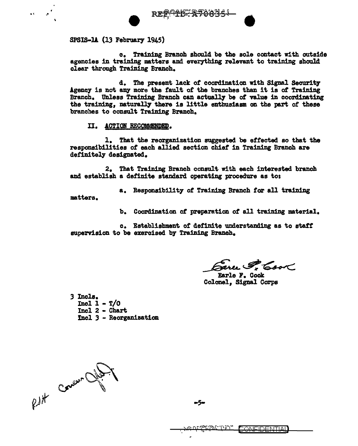

 $SPSIS-1A$  (13 February 1945)

c. Training Branch should be the sole contact with outside agencies in training matters and everything relevant to training should clear through Training Branch.

d. The present lack of coordination with Signal Security Agency is not any more the fault of the branches than it is of Training Branch. Unless Training Branch can actually be of value in coordinating the training, naturally there is little enthusiasm on the part of these branches to consult Training Branch.

II. ACTION RECOMMENDEQ.

1. That the reorganization suggested be effected so that the responsibilities of each allied section chief in Training Branch are definitely designated.

2. That Training Branch conault with each interested branch and establish a definite standard operating procedure as to:

a. Responsibility of Training Branch for all training matters.

b. Coordination *ot* preparation of all training material.

c. Establishment of definite understanding as to staff supervision to be exercised by Training Branch.

Sarce P. Cook

Colonel, Signal Corps

*3* Incle. Incl  $1 - T/0$ Incl 2 - Chart Incl 3 - Reorganization

Rutt Concer Office

-5-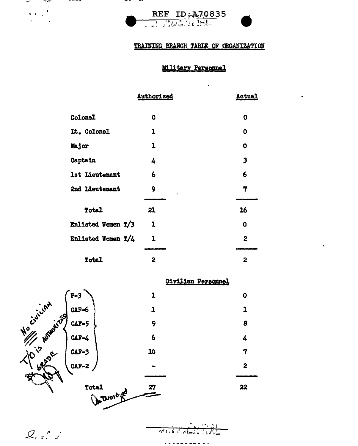

## TRAINING BRANCH TABLE OF CRGANIZATION

 $\cdot$ 

# **Military Personnel**

|                    | <b>Authorized</b> | <u>Actual</u>           |
|--------------------|-------------------|-------------------------|
| <b>Colonel</b>     | Ω                 | O                       |
| Lt. Colonel        | 1                 | 0                       |
| Major              | 1                 | 0                       |
| Captain            | 4                 | $\overline{\mathbf{3}}$ |
| 1st Lieutenant     | 6                 | 6                       |
| 2nd Lieutenant     | 9                 | 7                       |
| Total              | 21                | 16                      |
| Enlisted Women T/3 | 1                 | O                       |
| Enlisted Women T/4 | 1                 | 2                       |
|                    |                   |                         |
| Total              | 2                 | 2                       |

# Civilian Personnel

. . . . . . . . . . .

 $\bullet$ 

 $\mathbf{1}$ 

8

4

 $\boldsymbol{7}$ 

 $\overline{\mathbf{z}}$ 

22



 $Q_{i+1}$ 

÷

 $\frac{1}{3}$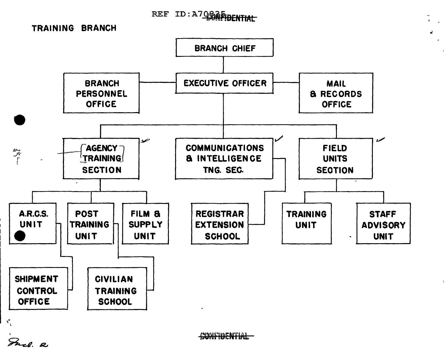# REF ID: A70835-DENTIAL

e.





Fuel. a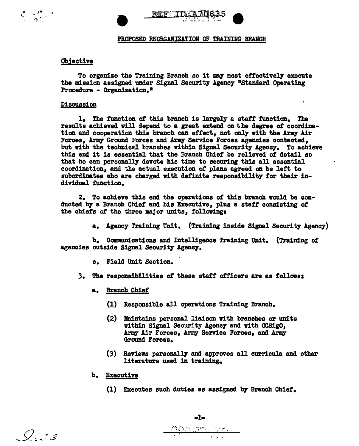

## Objective

 $\mathcal{L} = \frac{1}{2} \sum_{i=1}^{n} \frac{1}{i}$ 

To organize the Training Branch so it may most effectively execute the mission assigned under Signal Security Agency "Standard Operating Procedure - Organization."

### Discussion

1. The function of this branch is largely a staff function. The results achieved will depend to a great extend on the degree *ot* coordination and cooperation this branch can effect, not only with the Army Air Forces, Army Ground Forces and Army Service Forces agencies contacted, but with the technical branches within Signal Security Agency. To achieve this end it is essential that the Branch Chief be relieved of detail so that he can personally devote his time to securing this all essential coordination, and the actual execution *ot* plans agreed on be left to subordinates who are charged with definite responsibility for their individual function.

2. To achieve this end the operations of this branch would be conducted by a Branch Chief and his Executive, plus a staff consisting *ot*  the chiefs of the three major units, following:

a. Agency Training Unit. (Training inside Signal Security Agency)

L

b. Communications and Intelligence Training Unit. (Training of agencies outside Signal Security Agency.

- c. Field Unit Section.
- 3. The responsibilities *ot* these staff officers are as follows:.
	- a. Branch Chief
		- (1) Responsible all operations Training Branch.
		- (2) Maintains personal liaison with branches or imits within Signal Security Agency and with OOSigO, Army Air Forces, Army Service Forces, and Army Ground Forces.
		- (3) Reviews personally and approves all curricula and other literature used in training.
	- b. Executive
		- (1) Executes such duties as assigned by Branch Chief.

 $Q_{\alpha}$  or  $g$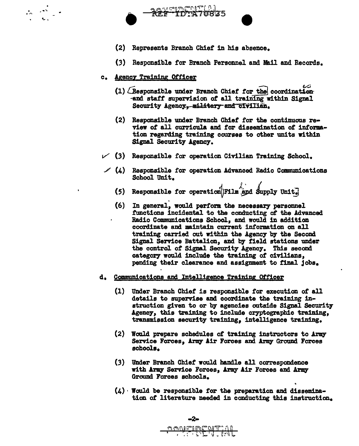



- (2) Represents Branch Chief' in his absence.
- (3) Responsible for Branch Personnel and Mail and Records.
- c. Agency Training Officer
	- $(1)$  (Responsible under Branch Chief for the coordination and staff supervision of all training within Signal Security Agency. military and civilian.
	- (2) Responsible under Branch Chief for the continuous review of all curricula and for dissemination of information regarding training courses to other units within Signal Security Agency.
- $\checkmark$  (3) Responsible for operation Civilian Training School.
- $(4)$  Responsible for operation Advanced Radio Communications School Unit.
	-
	- (5) Responsible for operation<sup>1</sup>/Film and Supply Unit.<br>(6) In general, would perform the necessary personnel (6) In general, would perform the necessary personnel functions incidental to the conducting of the Advanced Radio Communications School, and would in addition coordinate and maintain current information on all training carried out within the Agency by the Second Signal Service Battalion, and by field stations under the control of Signal Security Agency. This second category would include the training of civilians. pending their clearance and assignment to final jobs.
- d. Communications and Intelligence Training Officer
	- (1) Under Branch Chief' is responsible for execution of all details to supervise and coordinate the training instruction given to or by agencies outside Signal Security Agency, this training to include cryptographic training, transmission security training, intelligence training.
	- $(2)$  Would prepare schedules of training instructors to Army Service Forces, Army Air Forces and Army Ground Forces schools.
	- (3) Under Branch Chief would handle all correspondence with Army Service Forces, Army Air Forces and Army Ground Forces schools.
	- (4) · Would be responsible *tor* the preparation and dissemirmtion of literature needed in conducting this instruction.